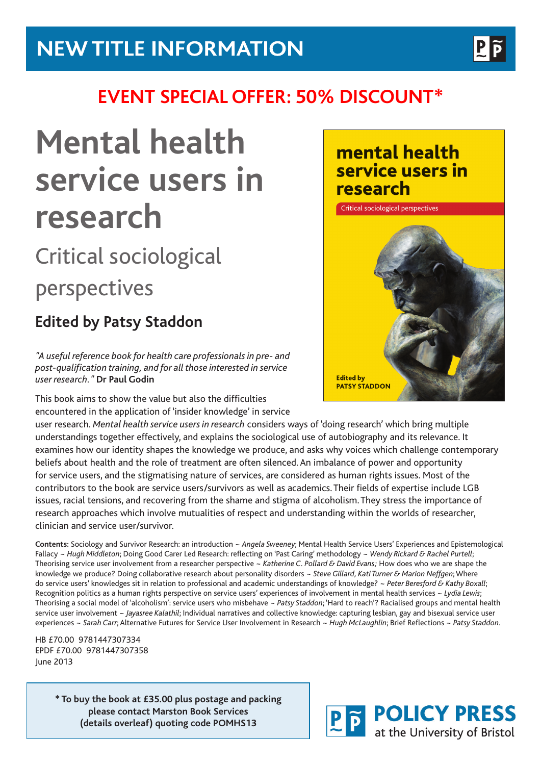

## **EVENT SPECIAL OFFER: 50% DISCOUNT\***

# **Mental health service users in research**

## Critical sociological perspectives

### **Edited by Patsy Staddon**

*"A useful reference book for health care professionals in pre- and post-qualification training, and for all those interested in service user research."* **Dr Paul Godin**

This book aims to show the value but also the difficulties encountered in the application of 'insider knowledge' in service

user research. *Mental health service users in research* considers ways of 'doing research' which bring multiple understandings together effectively, and explains the sociological use of autobiography and its relevance. It examines how our identity shapes the knowledge we produce, and asks why voices which challenge contemporary beliefs about health and the role of treatment are often silenced. An imbalance of power and opportunity for service users, and the stigmatising nature of services, are considered as human rights issues. Most of the contributors to the book are service users/survivors as well as academics. Their fields of expertise include LGB issues, racial tensions, and recovering from the shame and stigma of alcoholism. They stress the importance of research approaches which involve mutualities of respect and understanding within the worlds of researcher, clinician and service user/survivor.

**Contents:** Sociology and Survivor Research: an introduction ~ *Angela Sweeney*; Mental Health Service Users' Experiences and Epistemological Fallacy ~ *Hugh Middleton*; Doing Good Carer Led Research: reflecting on 'Past Caring' methodology ~ *Wendy Rickard & Rachel Purtell*; Theorising service user involvement from a researcher perspective ~ *Katherine C. Pollard & David Evans;* How does who we are shape the knowledge we produce? Doing collaborative research about personality disorders ~ *Steve Gillard, Kati Turner & Marion Neffgen*; Where do service users' knowledges sit in relation to professional and academic understandings of knowledge? ~ *Peter Beresford & Kathy Boxall*; Recognition politics as a human rights perspective on service users' experiences of involvement in mental health services ~ *Lydia Lewis*; Theorising a social model of 'alcoholism': service users who misbehave ~ *Patsy Staddon*; 'Hard to reach'? Racialised groups and mental health service user involvement ~ *Jayasree Kalathil*; Individual narratives and collective knowledge: capturing lesbian, gay and bisexual service user experiences ~ *Sarah Carr*; Alternative Futures for Service User Involvement in Research ~ *Hugh McLaughlin*; Brief Reflections ~ *Patsy Staddon*.

HB £70.00 9781447307334 EPDF £70.00 9781447307358 June 2013

> **\* To buy the book at £35.00 plus postage and packing please contact Marston Book Services (details overleaf) quoting code POMHS13**

#### mental health service users in research